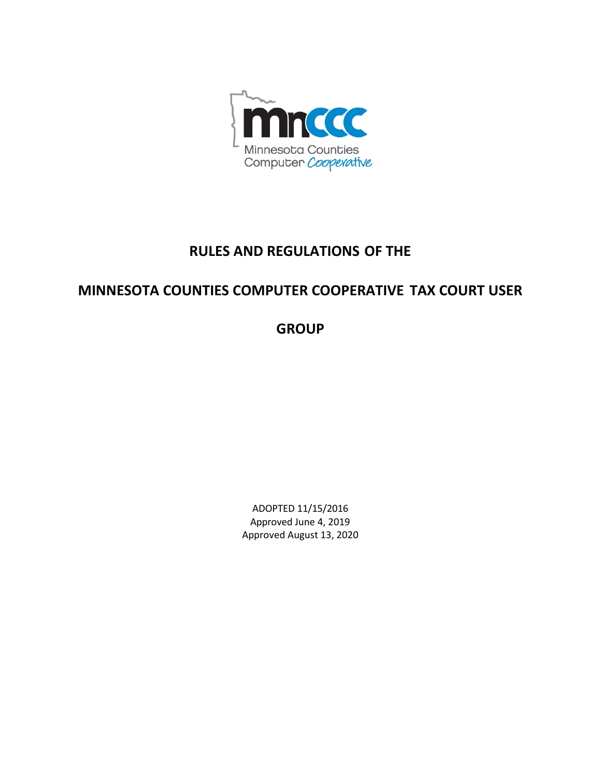

# **RULES AND REGULATIONS OF THE**

# **MINNESOTA COUNTIES COMPUTER COOPERATIVE TAX COURT USER**

**GROUP**

ADOPTED 11/15/2016 Approved June 4, 2019 Approved August 13, 2020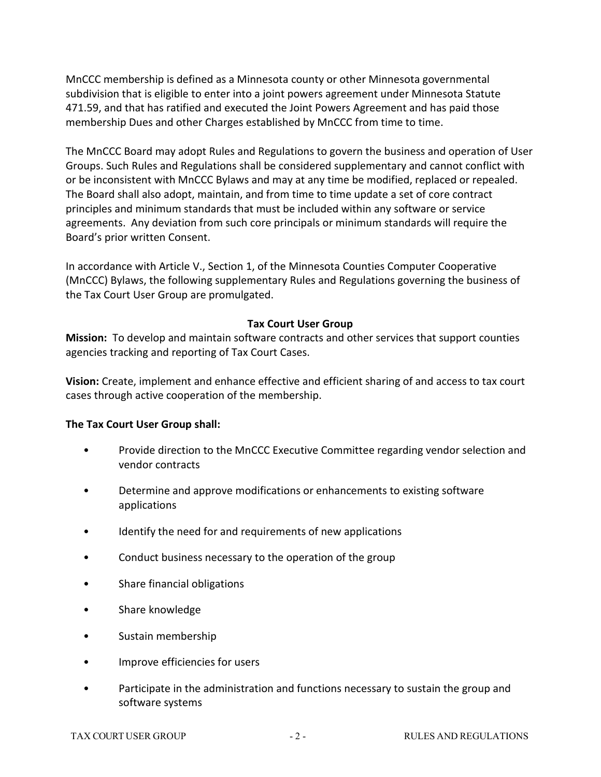MnCCC membership is defined as a Minnesota county or other Minnesota governmental subdivision that is eligible to enter into a joint powers agreement under Minnesota Statute 471.59, and that has ratified and executed the Joint Powers Agreement and has paid those membership Dues and other Charges established by MnCCC from time to time.

The MnCCC Board may adopt Rules and Regulations to govern the business and operation of User Groups. Such Rules and Regulations shall be considered supplementary and cannot conflict with or be inconsistent with MnCCC Bylaws and may at any time be modified, replaced or repealed. The Board shall also adopt, maintain, and from time to time update a set of core contract principles and minimum standards that must be included within any software or service agreements. Any deviation from such core principals or minimum standards will require the Board's prior written Consent.

In accordance with Article V., Section 1, of the Minnesota Counties Computer Cooperative (MnCCC) Bylaws, the following supplementary Rules and Regulations governing the business of the Tax Court User Group are promulgated.

# **Tax Court User Group**

**Mission:** To develop and maintain software contracts and other services that support counties agencies tracking and reporting of Tax Court Cases.

**Vision:** Create, implement and enhance effective and efficient sharing of and access to tax court cases through active cooperation of the membership.

# **The Tax Court User Group shall:**

- Provide direction to the MnCCC Executive Committee regarding vendor selection and vendor contracts
- Determine and approve modifications or enhancements to existing software applications
- Identify the need for and requirements of new applications
- Conduct business necessary to the operation of the group
- Share financial obligations
- Share knowledge
- Sustain membership
- Improve efficiencies for users
- Participate in the administration and functions necessary to sustain the group and software systems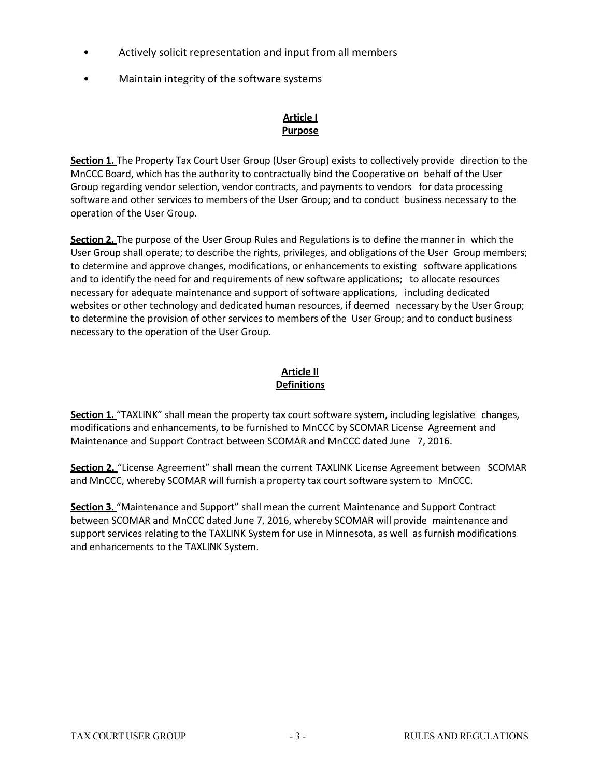- Actively solicit representation and input from all members
- Maintain integrity of the software systems

# **Article I Purpose**

**Section 1.** The Property Tax Court User Group (User Group) exists to collectively provide direction to the MnCCC Board, which has the authority to contractually bind the Cooperative on behalf of the User Group regarding vendor selection, vendor contracts, and payments to vendors for data processing software and other services to members of the User Group; and to conduct business necessary to the operation of the User Group.

**Section 2.** The purpose of the User Group Rules and Regulations is to define the manner in which the User Group shall operate; to describe the rights, privileges, and obligations of the User Group members; to determine and approve changes, modifications, or enhancements to existing software applications and to identify the need for and requirements of new software applications; to allocate resources necessary for adequate maintenance and support of software applications, including dedicated websites or other technology and dedicated human resources, if deemed necessary by the User Group; to determine the provision of other services to members of the User Group; and to conduct business necessary to the operation of the User Group.

# **Article II Definitions**

**Section 1.** "TAXLINK" shall mean the property tax court software system, including legislative changes, modifications and enhancements, to be furnished to MnCCC by SCOMAR License Agreement and Maintenance and Support Contract between SCOMAR and MnCCC dated June 7, 2016.

**Section 2.** "License Agreement" shall mean the current TAXLINK License Agreement between SCOMAR and MnCCC, whereby SCOMAR will furnish a property tax court software system to MnCCC.

**Section 3.** "Maintenance and Support" shall mean the current Maintenance and Support Contract between SCOMAR and MnCCC dated June 7, 2016, whereby SCOMAR will provide maintenance and support services relating to the TAXLINK System for use in Minnesota, as well as furnish modifications and enhancements to the TAXLINK System.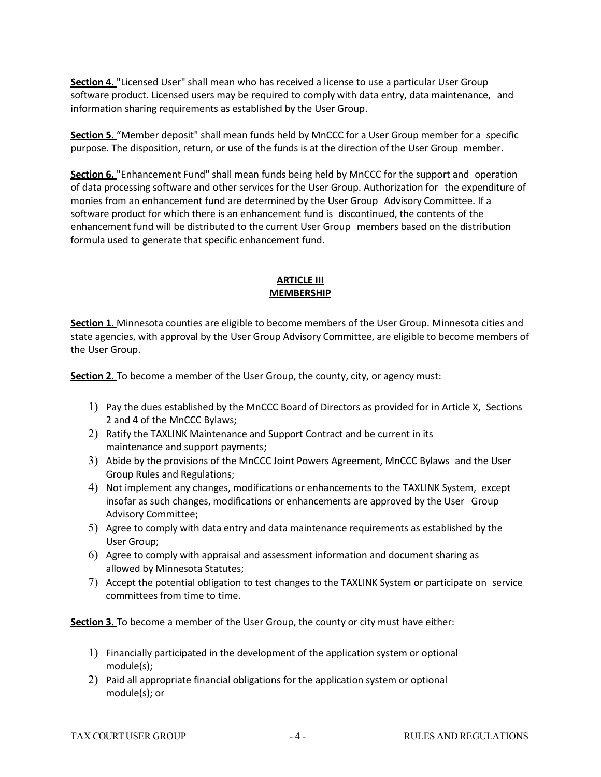**Section 4.** "Licensed User" shall mean who has received a license to use a particular User Group software product. Licensed users may be required to comply with data entry, data maintenance, and information sharing requirements as established by the User Group.

**Section 5.** "Member deposit" shall mean funds held by MnCCC for a User Group member for a specific purpose. The disposition, return, or use of the funds is at the direction of the User Group member.

**Section 6.** "Enhancement Fund" shall mean funds being held by MnCCC for the support and operation of data processing software and other services for the User Group. Authorization for the expenditure of monies from an enhancement fund are determined by the User Group Advisory Committee. If a software product for which there is an enhancement fund is discontinued, the contents of the enhancement fund will be distributed to the current User Group members based on the distribution formula used to generate that specific enhancement fund.

# **ARTICLE III MEMBERSHIP**

**Section 1.** Minnesota counties are eligible to become members of the User Group. Minnesota cities and state agencies, with approval by the User Group Advisory Committee, are eligible to become members of the User Group.

**Section 2.** To become a member of the User Group, the county, city, or agency must:

- 1) Pay the dues established by the MnCCC Board of Directors as provided for in Article X, Sections 2 and 4 of the MnCCC Bylaws;
- 2) Ratify the TAXLINK Maintenance and Support Contract and be current in its maintenance and support payments;
- 3) Abide by the provisions of the MnCCC Joint Powers Agreement, MnCCC Bylaws and the User Group Rules and Regulations;
- 4) Not implement any changes, modifications or enhancements to the TAXLINK System, except insofar as such changes, modifications or enhancements are approved by the User Group Advisory Committee;
- 5) Agree to comply with data entry and data maintenance requirements as established by the User Group;
- 6) Agree to comply with appraisal and assessment information and document sharing as allowed by Minnesota Statutes;
- 7) Accept the potential obligation to test changes to the TAXLINK System or participate on service committees from time to time.

**Section 3.** To become a member of the User Group, the county or city must have either:

- 1) Financially participated in the development of the application system or optional module(s);
- 2) Paid all appropriate financial obligations for the application system or optional module(s); or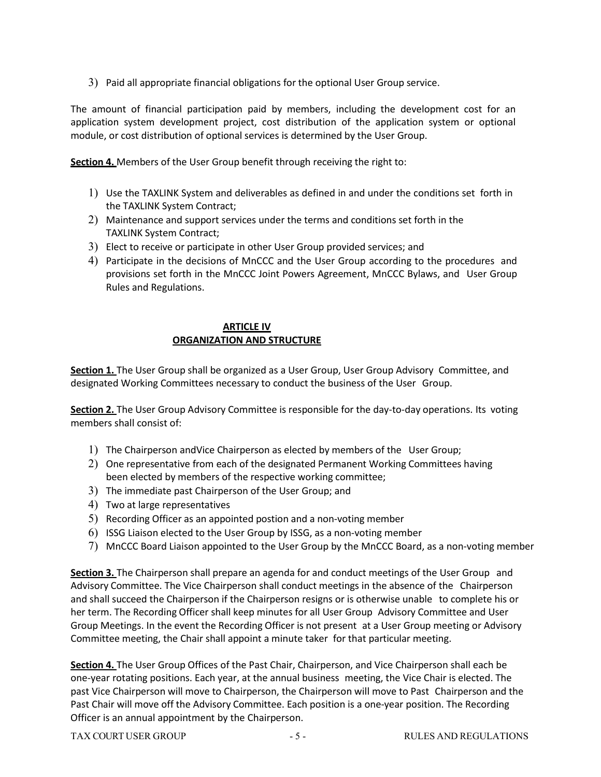3) Paid all appropriate financial obligations for the optional User Group service.

The amount of financial participation paid by members, including the development cost for an application system development project, cost distribution of the application system or optional module, or cost distribution of optional services is determined by the User Group.

**Section 4.** Members of the User Group benefit through receiving the right to:

- 1) Use the TAXLINK System and deliverables as defined in and under the conditions set forth in the TAXLINK System Contract;
- 2) Maintenance and support services under the terms and conditions set forth in the TAXLINK System Contract;
- 3) Elect to receive or participate in other User Group provided services; and
- 4) Participate in the decisions of MnCCC and the User Group according to the procedures and provisions set forth in the MnCCC Joint Powers Agreement, MnCCC Bylaws, and User Group Rules and Regulations.

## **ARTICLE IV ORGANIZATION AND STRUCTURE**

**Section 1.** The User Group shall be organized as a User Group, User Group Advisory Committee, and designated Working Committees necessary to conduct the business of the User Group.

**Section 2.** The User Group Advisory Committee is responsible for the day-to-day operations. Its voting members shall consist of:

- 1) The Chairperson andVice Chairperson as elected by members of the User Group;
- 2) One representative from each of the designated Permanent Working Committees having been elected by members of the respective working committee;
- 3) The immediate past Chairperson of the User Group; and
- 4) Two at large representatives
- 5) Recording Officer as an appointed postion and a non-voting member
- 6) ISSG Liaison elected to the User Group by ISSG, as a non-voting member
- 7) MnCCC Board Liaison appointed to the User Group by the MnCCC Board, as a non-voting member

**Section 3.** The Chairperson shall prepare an agenda for and conduct meetings of the User Group and Advisory Committee. The Vice Chairperson shall conduct meetings in the absence of the Chairperson and shall succeed the Chairperson if the Chairperson resigns or is otherwise unable to complete his or her term. The Recording Officer shall keep minutes for all User Group Advisory Committee and User Group Meetings. In the event the Recording Officer is not present at a User Group meeting or Advisory Committee meeting, the Chair shall appoint a minute taker for that particular meeting.

**Section 4.** The User Group Offices of the Past Chair, Chairperson, and Vice Chairperson shall each be one-year rotating positions. Each year, at the annual business meeting, the Vice Chair is elected. The past Vice Chairperson will move to Chairperson, the Chairperson will move to Past Chairperson and the Past Chair will move off the Advisory Committee. Each position is a one-year position. The Recording Officer is an annual appointment by the Chairperson.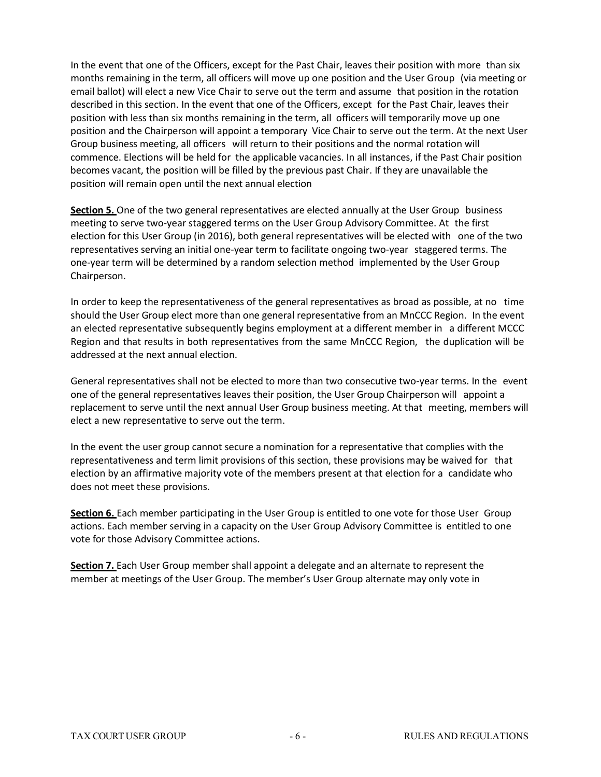In the event that one of the Officers, except for the Past Chair, leaves their position with more than six months remaining in the term, all officers will move up one position and the User Group (via meeting or email ballot) will elect a new Vice Chair to serve out the term and assume that position in the rotation described in this section. In the event that one of the Officers, except for the Past Chair, leaves their position with less than six months remaining in the term, all officers will temporarily move up one position and the Chairperson will appoint a temporary Vice Chair to serve out the term. At the next User Group business meeting, all officers will return to their positions and the normal rotation will commence. Elections will be held for the applicable vacancies. In all instances, if the Past Chair position becomes vacant, the position will be filled by the previous past Chair. If they are unavailable the position will remain open until the next annual election

**Section 5.** One of the two general representatives are elected annually at the User Group business meeting to serve two-year staggered terms on the User Group Advisory Committee. At the first election for this User Group (in 2016), both general representatives will be elected with one of the two representatives serving an initial one-year term to facilitate ongoing two-year staggered terms. The one-year term will be determined by a random selection method implemented by the User Group Chairperson.

In order to keep the representativeness of the general representatives as broad as possible, at no time should the User Group elect more than one general representative from an MnCCC Region. In the event an elected representative subsequently begins employment at a different member in a different MCCC Region and that results in both representatives from the same MnCCC Region, the duplication will be addressed at the next annual election.

General representatives shall not be elected to more than two consecutive two-year terms. In the event one of the general representatives leaves their position, the User Group Chairperson will appoint a replacement to serve until the next annual User Group business meeting. At that meeting, members will elect a new representative to serve out the term.

In the event the user group cannot secure a nomination for a representative that complies with the representativeness and term limit provisions of this section, these provisions may be waived for that election by an affirmative majority vote of the members present at that election for a candidate who does not meet these provisions.

**Section 6.** Each member participating in the User Group is entitled to one vote for those User Group actions. Each member serving in a capacity on the User Group Advisory Committee is entitled to one vote for those Advisory Committee actions.

**Section 7.** Each User Group member shall appoint a delegate and an alternate to represent the member at meetings of the User Group. The member's User Group alternate may only vote in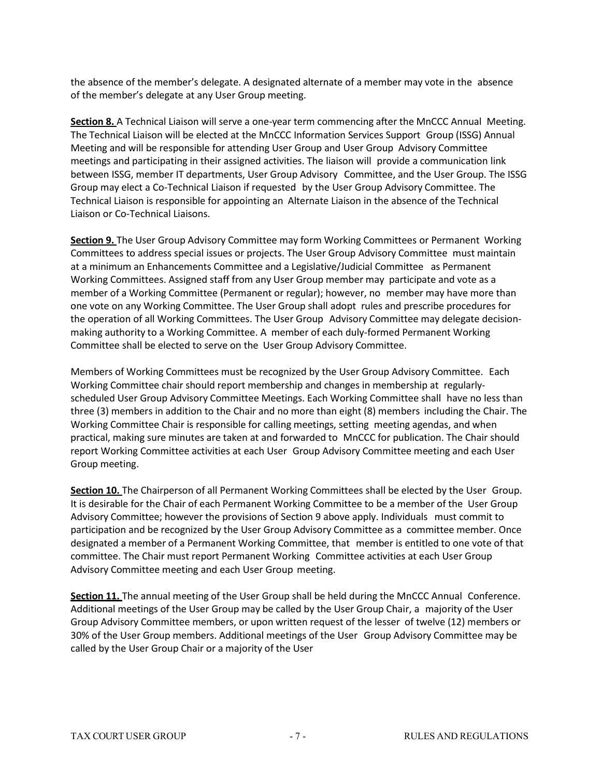the absence of the member's delegate. A designated alternate of a member may vote in the absence of the member's delegate at any User Group meeting.

**Section 8.** A Technical Liaison will serve a one-year term commencing after the MnCCC Annual Meeting. The Technical Liaison will be elected at the MnCCC Information Services Support Group (ISSG) Annual Meeting and will be responsible for attending User Group and User Group Advisory Committee meetings and participating in their assigned activities. The liaison will provide a communication link between ISSG, member IT departments, User Group Advisory Committee, and the User Group. The ISSG Group may elect a Co-Technical Liaison if requested by the User Group Advisory Committee. The Technical Liaison is responsible for appointing an Alternate Liaison in the absence of the Technical Liaison or Co-Technical Liaisons.

**Section 9.** The User Group Advisory Committee may form Working Committees or Permanent Working Committees to address special issues or projects. The User Group Advisory Committee must maintain at a minimum an Enhancements Committee and a Legislative/Judicial Committee as Permanent Working Committees. Assigned staff from any User Group member may participate and vote as a member of a Working Committee (Permanent or regular); however, no member may have more than one vote on any Working Committee. The User Group shall adopt rules and prescribe procedures for the operation of all Working Committees. The User Group Advisory Committee may delegate decisionmaking authority to a Working Committee. A member of each duly-formed Permanent Working Committee shall be elected to serve on the User Group Advisory Committee.

Members of Working Committees must be recognized by the User Group Advisory Committee. Each Working Committee chair should report membership and changes in membership at regularlyscheduled User Group Advisory Committee Meetings. Each Working Committee shall have no less than three (3) members in addition to the Chair and no more than eight (8) members including the Chair. The Working Committee Chair is responsible for calling meetings, setting meeting agendas, and when practical, making sure minutes are taken at and forwarded to MnCCC for publication. The Chair should report Working Committee activities at each User Group Advisory Committee meeting and each User Group meeting.

**Section 10.** The Chairperson of all Permanent Working Committees shall be elected by the User Group. It is desirable for the Chair of each Permanent Working Committee to be a member of the User Group Advisory Committee; however the provisions of Section 9 above apply. Individuals must commit to participation and be recognized by the User Group Advisory Committee as a committee member. Once designated a member of a Permanent Working Committee, that member is entitled to one vote of that committee. The Chair must report Permanent Working Committee activities at each User Group Advisory Committee meeting and each User Group meeting.

**Section 11.** The annual meeting of the User Group shall be held during the MnCCC Annual Conference. Additional meetings of the User Group may be called by the User Group Chair, a majority of the User Group Advisory Committee members, or upon written request of the lesser of twelve (12) members or 30% of the User Group members. Additional meetings of the User Group Advisory Committee may be called by the User Group Chair or a majority of the User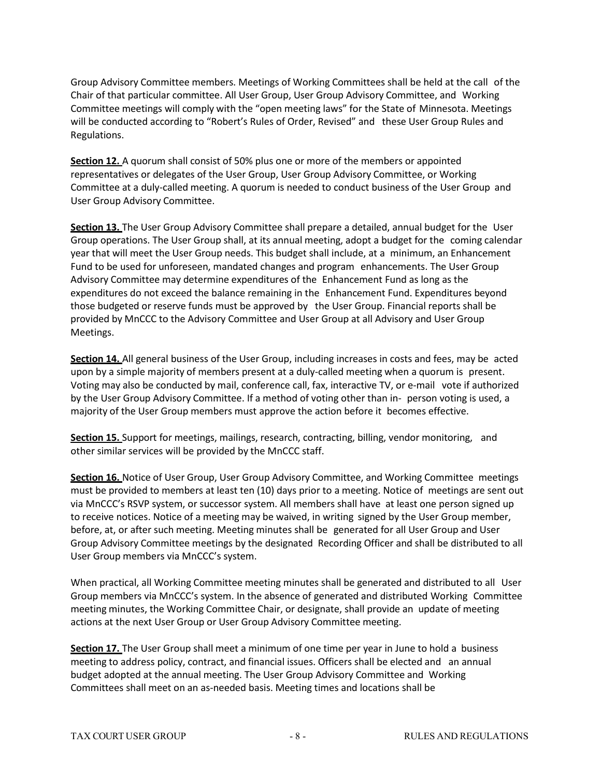Group Advisory Committee members. Meetings of Working Committees shall be held at the call of the Chair of that particular committee. All User Group, User Group Advisory Committee, and Working Committee meetings will comply with the "open meeting laws" for the State of Minnesota. Meetings will be conducted according to "Robert's Rules of Order, Revised" and these User Group Rules and Regulations.

**Section 12.** A quorum shall consist of 50% plus one or more of the members or appointed representatives or delegates of the User Group, User Group Advisory Committee, or Working Committee at a duly-called meeting. A quorum is needed to conduct business of the User Group and User Group Advisory Committee.

**Section 13.** The User Group Advisory Committee shall prepare a detailed, annual budget for the User Group operations. The User Group shall, at its annual meeting, adopt a budget for the coming calendar year that will meet the User Group needs. This budget shall include, at a minimum, an Enhancement Fund to be used for unforeseen, mandated changes and program enhancements. The User Group Advisory Committee may determine expenditures of the Enhancement Fund as long as the expenditures do not exceed the balance remaining in the Enhancement Fund. Expenditures beyond those budgeted or reserve funds must be approved by the User Group. Financial reports shall be provided by MnCCC to the Advisory Committee and User Group at all Advisory and User Group Meetings.

**Section 14.** All general business of the User Group, including increases in costs and fees, may be acted upon by a simple majority of members present at a duly-called meeting when a quorum is present. Voting may also be conducted by mail, conference call, fax, interactive TV, or e-mail vote if authorized by the User Group Advisory Committee. If a method of voting other than in- person voting is used, a majority of the User Group members must approve the action before it becomes effective.

**Section 15.** Support for meetings, mailings, research, contracting, billing, vendor monitoring, and other similar services will be provided by the MnCCC staff.

**Section 16.** Notice of User Group, User Group Advisory Committee, and Working Committee meetings must be provided to members at least ten (10) days prior to a meeting. Notice of meetings are sent out via MnCCC's RSVP system, or successor system. All members shall have at least one person signed up to receive notices. Notice of a meeting may be waived, in writing signed by the User Group member, before, at, or after such meeting. Meeting minutes shall be generated for all User Group and User Group Advisory Committee meetings by the designated Recording Officer and shall be distributed to all User Group members via MnCCC's system.

When practical, all Working Committee meeting minutes shall be generated and distributed to all User Group members via MnCCC's system. In the absence of generated and distributed Working Committee meeting minutes, the Working Committee Chair, or designate, shall provide an update of meeting actions at the next User Group or User Group Advisory Committee meeting.

**Section 17.** The User Group shall meet a minimum of one time per year in June to hold a business meeting to address policy, contract, and financial issues. Officers shall be elected and an annual budget adopted at the annual meeting. The User Group Advisory Committee and Working Committees shall meet on an as-needed basis. Meeting times and locations shall be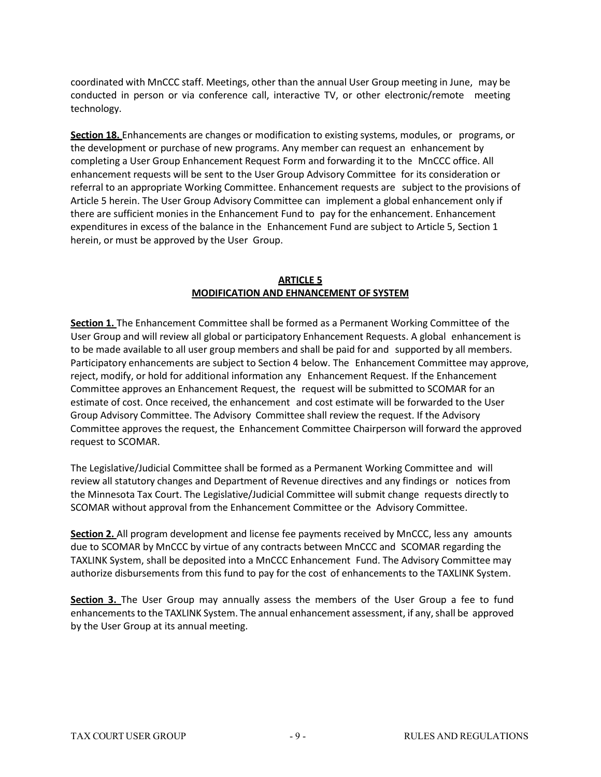coordinated with MnCCC staff. Meetings, other than the annual User Group meeting in June, may be conducted in person or via conference call, interactive TV, or other electronic/remote meeting technology.

**Section 18.** Enhancements are changes or modification to existing systems, modules, or programs, or the development or purchase of new programs. Any member can request an enhancement by completing a User Group Enhancement Request Form and forwarding it to the MnCCC office. All enhancement requests will be sent to the User Group Advisory Committee for its consideration or referral to an appropriate Working Committee. Enhancement requests are subject to the provisions of Article 5 herein. The User Group Advisory Committee can implement a global enhancement only if there are sufficient monies in the Enhancement Fund to pay for the enhancement. Enhancement expenditures in excess of the balance in the Enhancement Fund are subject to Article 5, Section 1 herein, or must be approved by the User Group.

#### **ARTICLE 5 MODIFICATION AND EHNANCEMENT OF SYSTEM**

**Section 1.** The Enhancement Committee shall be formed as a Permanent Working Committee of the User Group and will review all global or participatory Enhancement Requests. A global enhancement is to be made available to all user group members and shall be paid for and supported by all members. Participatory enhancements are subject to Section 4 below. The Enhancement Committee may approve, reject, modify, or hold for additional information any Enhancement Request. If the Enhancement Committee approves an Enhancement Request, the request will be submitted to SCOMAR for an estimate of cost. Once received, the enhancement and cost estimate will be forwarded to the User Group Advisory Committee. The Advisory Committee shall review the request. If the Advisory Committee approves the request, the Enhancement Committee Chairperson will forward the approved request to SCOMAR.

The Legislative/Judicial Committee shall be formed as a Permanent Working Committee and will review all statutory changes and Department of Revenue directives and any findings or notices from the Minnesota Tax Court. The Legislative/Judicial Committee will submit change requests directly to SCOMAR without approval from the Enhancement Committee or the Advisory Committee.

**Section 2.** All program development and license fee payments received by MnCCC, less any amounts due to SCOMAR by MnCCC by virtue of any contracts between MnCCC and SCOMAR regarding the TAXLINK System, shall be deposited into a MnCCC Enhancement Fund. The Advisory Committee may authorize disbursements from this fund to pay for the cost of enhancements to the TAXLINK System.

**Section 3.** The User Group may annually assess the members of the User Group a fee to fund enhancements to the TAXLINK System. The annual enhancement assessment, if any, shall be approved by the User Group at its annual meeting.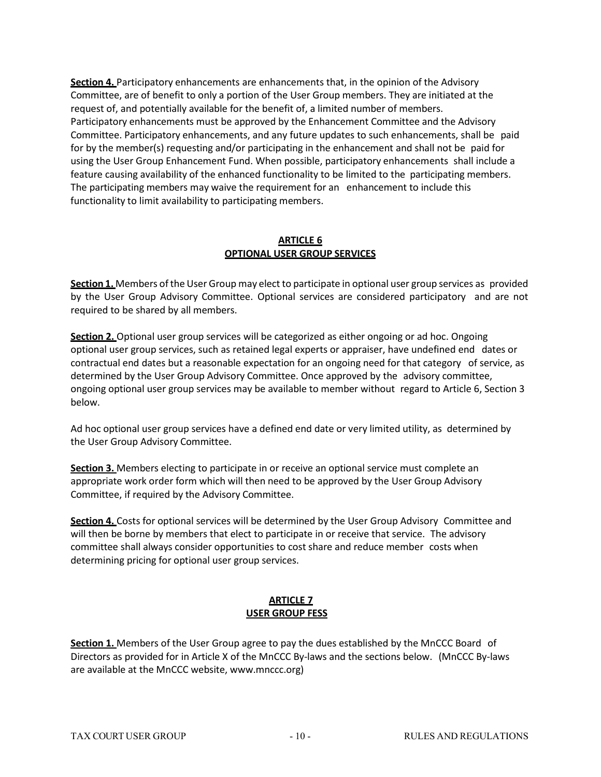**Section 4.** Participatory enhancements are enhancements that, in the opinion of the Advisory Committee, are of benefit to only a portion of the User Group members. They are initiated at the request of, and potentially available for the benefit of, a limited number of members. Participatory enhancements must be approved by the Enhancement Committee and the Advisory Committee. Participatory enhancements, and any future updates to such enhancements, shall be paid for by the member(s) requesting and/or participating in the enhancement and shall not be paid for using the User Group Enhancement Fund. When possible, participatory enhancements shall include a feature causing availability of the enhanced functionality to be limited to the participating members. The participating members may waive the requirement for an enhancement to include this functionality to limit availability to participating members.

#### **ARTICLE 6 OPTIONAL USER GROUP SERVICES**

**Section 1.** Members ofthe User Group may elect to participate in optional user group services as provided by the User Group Advisory Committee. Optional services are considered participatory and are not required to be shared by all members.

**Section 2.** Optional user group services will be categorized as either ongoing or ad hoc. Ongoing optional user group services, such as retained legal experts or appraiser, have undefined end dates or contractual end dates but a reasonable expectation for an ongoing need for that category of service, as determined by the User Group Advisory Committee. Once approved by the advisory committee, ongoing optional user group services may be available to member without regard to Article 6, Section 3 below.

Ad hoc optional user group services have a defined end date or very limited utility, as determined by the User Group Advisory Committee.

**Section 3.** Members electing to participate in or receive an optional service must complete an appropriate work order form which will then need to be approved by the User Group Advisory Committee, if required by the Advisory Committee.

**Section 4.** Costs for optional services will be determined by the User Group Advisory Committee and will then be borne by members that elect to participate in or receive that service. The advisory committee shall always consider opportunities to cost share and reduce member costs when determining pricing for optional user group services.

# **ARTICLE 7 USER GROUP FESS**

**Section 1.** Members of the User Group agree to pay the dues established by the MnCCC Board of Directors as provided for in Article X of the MnCCC By-laws and the sections below. (MnCCC By-laws are available at the MnCCC website, www.mnccc.org)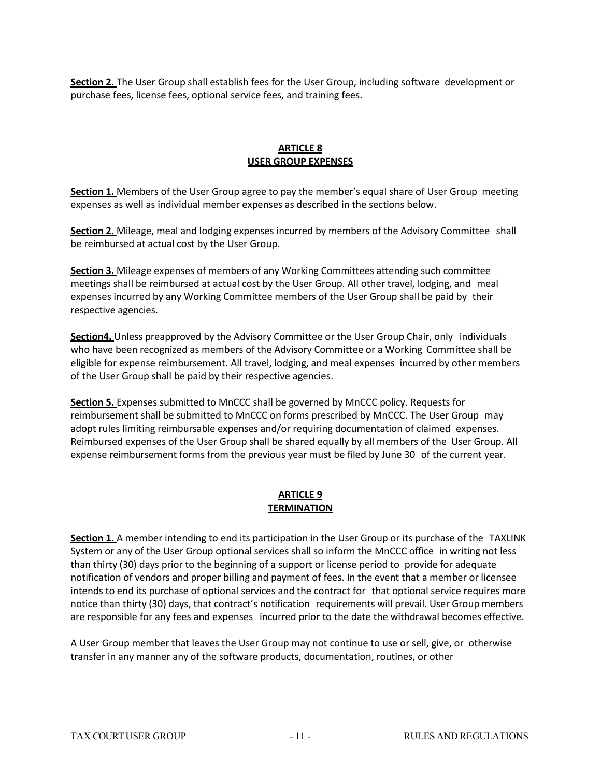**Section 2.** The User Group shall establish fees for the User Group, including software development or purchase fees, license fees, optional service fees, and training fees.

## **ARTICLE 8 USER GROUP EXPENSES**

**Section 1.** Members of the User Group agree to pay the member's equal share of User Group meeting expenses as well as individual member expenses as described in the sections below.

**Section 2.** Mileage, meal and lodging expenses incurred by members of the Advisory Committee shall be reimbursed at actual cost by the User Group.

**Section 3.** Mileage expenses of members of any Working Committees attending such committee meetings shall be reimbursed at actual cost by the User Group. All other travel, lodging, and meal expenses incurred by any Working Committee members of the User Group shall be paid by their respective agencies.

**Section4.** Unless preapproved by the Advisory Committee or the User Group Chair, only individuals who have been recognized as members of the Advisory Committee or a Working Committee shall be eligible for expense reimbursement. All travel, lodging, and meal expenses incurred by other members of the User Group shall be paid by their respective agencies.

**Section 5.** Expenses submitted to MnCCC shall be governed by MnCCC policy. Requests for reimbursement shall be submitted to MnCCC on forms prescribed by MnCCC. The User Group may adopt rules limiting reimbursable expenses and/or requiring documentation of claimed expenses. Reimbursed expenses of the User Group shall be shared equally by all members of the User Group. All expense reimbursement forms from the previous year must be filed by June 30 of the current year.

## **ARTICLE 9 TERMINATION**

**Section 1.** A member intending to end its participation in the User Group or its purchase of the TAXLINK System or any of the User Group optional services shall so inform the MnCCC office in writing not less than thirty (30) days prior to the beginning of a support or license period to provide for adequate notification of vendors and proper billing and payment of fees. In the event that a member or licensee intends to end its purchase of optional services and the contract for that optional service requires more notice than thirty (30) days, that contract's notification requirements will prevail. User Group members are responsible for any fees and expenses incurred prior to the date the withdrawal becomes effective.

A User Group member that leaves the User Group may not continue to use or sell, give, or otherwise transfer in any manner any of the software products, documentation, routines, or other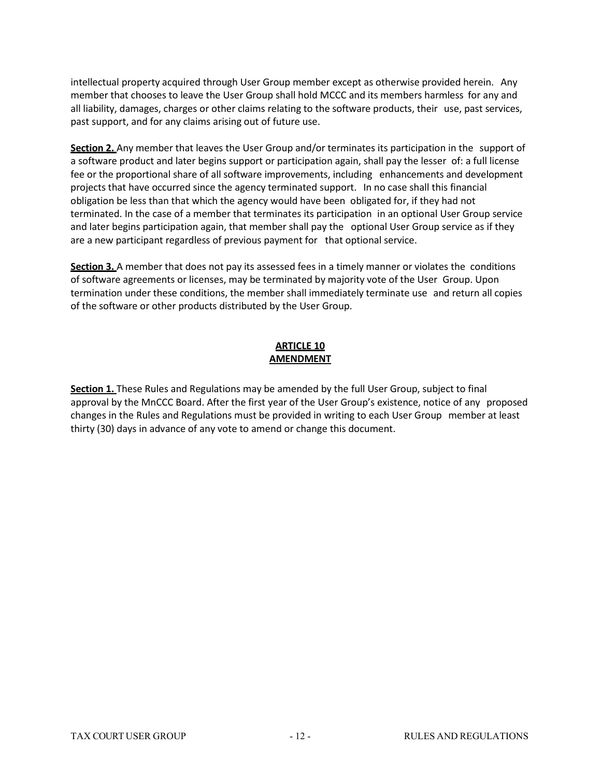intellectual property acquired through User Group member except as otherwise provided herein. Any member that chooses to leave the User Group shall hold MCCC and its members harmless for any and all liability, damages, charges or other claims relating to the software products, their use, past services, past support, and for any claims arising out of future use.

**Section 2.** Any member that leaves the User Group and/or terminates its participation in the support of a software product and later begins support or participation again, shall pay the lesser of: a full license fee or the proportional share of all software improvements, including enhancements and development projects that have occurred since the agency terminated support. In no case shall this financial obligation be less than that which the agency would have been obligated for, if they had not terminated. In the case of a member that terminates its participation in an optional User Group service and later begins participation again, that member shall pay the optional User Group service as if they are a new participant regardless of previous payment for that optional service.

**Section 3.** A member that does not pay its assessed fees in a timely manner or violates the conditions of software agreements or licenses, may be terminated by majority vote of the User Group. Upon termination under these conditions, the member shall immediately terminate use and return all copies of the software or other products distributed by the User Group.

### **ARTICLE 10 AMENDMENT**

**Section 1.** These Rules and Regulations may be amended by the full User Group, subject to final approval by the MnCCC Board. After the first year of the User Group's existence, notice of any proposed changes in the Rules and Regulations must be provided in writing to each User Group member at least thirty (30) days in advance of any vote to amend or change this document.